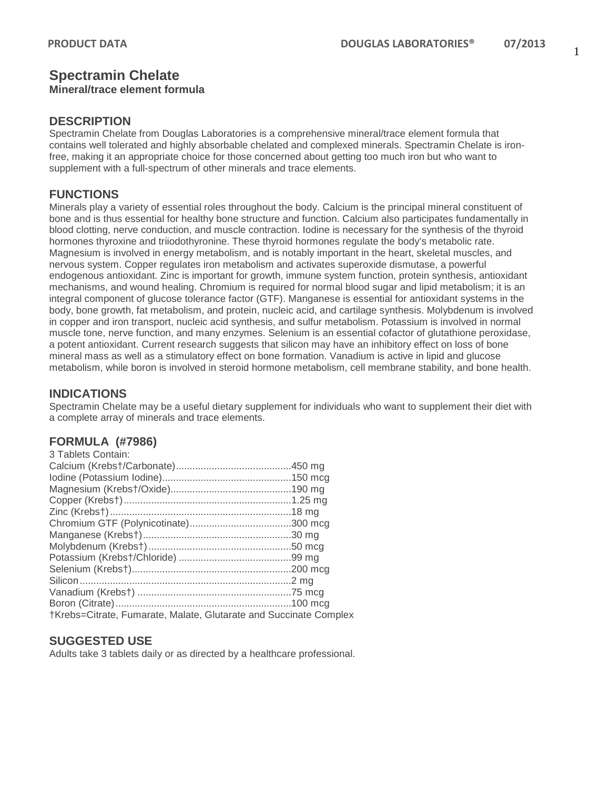## **Spectramin Chelate**

## **Mineral/trace element formula**

#### **DESCRIPTION**

Spectramin Chelate from Douglas Laboratories is a comprehensive mineral/trace element formula that contains well tolerated and highly absorbable chelated and complexed minerals. Spectramin Chelate is ironfree, making it an appropriate choice for those concerned about getting too much iron but who want to supplement with a full-spectrum of other minerals and trace elements.

### **FUNCTIONS**

Minerals play a variety of essential roles throughout the body. Calcium is the principal mineral constituent of bone and is thus essential for healthy bone structure and function. Calcium also participates fundamentally in blood clotting, nerve conduction, and muscle contraction. Iodine is necessary for the synthesis of the thyroid hormones thyroxine and triiodothyronine. These thyroid hormones regulate the body's metabolic rate. Magnesium is involved in energy metabolism, and is notably important in the heart, skeletal muscles, and nervous system. Copper regulates iron metabolism and activates superoxide dismutase, a powerful endogenous antioxidant. Zinc is important for growth, immune system function, protein synthesis, antioxidant mechanisms, and wound healing. Chromium is required for normal blood sugar and lipid metabolism; it is an integral component of glucose tolerance factor (GTF). Manganese is essential for antioxidant systems in the body, bone growth, fat metabolism, and protein, nucleic acid, and cartilage synthesis. Molybdenum is involved in copper and iron transport, nucleic acid synthesis, and sulfur metabolism. Potassium is involved in normal muscle tone, nerve function, and many enzymes. Selenium is an essential cofactor of glutathione peroxidase, a potent antioxidant. Current research suggests that silicon may have an inhibitory effect on loss of bone mineral mass as well as a stimulatory effect on bone formation. Vanadium is active in lipid and glucose metabolism, while boron is involved in steroid hormone metabolism, cell membrane stability, and bone health.

#### **INDICATIONS**

Spectramin Chelate may be a useful dietary supplement for individuals who want to supplement their diet with a complete array of minerals and trace elements.

#### **FORMULA (#7986)**

| 3 Tablets Contain:                                                |  |
|-------------------------------------------------------------------|--|
|                                                                   |  |
|                                                                   |  |
|                                                                   |  |
|                                                                   |  |
|                                                                   |  |
|                                                                   |  |
|                                                                   |  |
|                                                                   |  |
|                                                                   |  |
|                                                                   |  |
|                                                                   |  |
|                                                                   |  |
|                                                                   |  |
| †Krebs=Citrate, Fumarate, Malate, Glutarate and Succinate Complex |  |

#### **SUGGESTED USE**

Adults take 3 tablets daily or as directed by a healthcare professional.